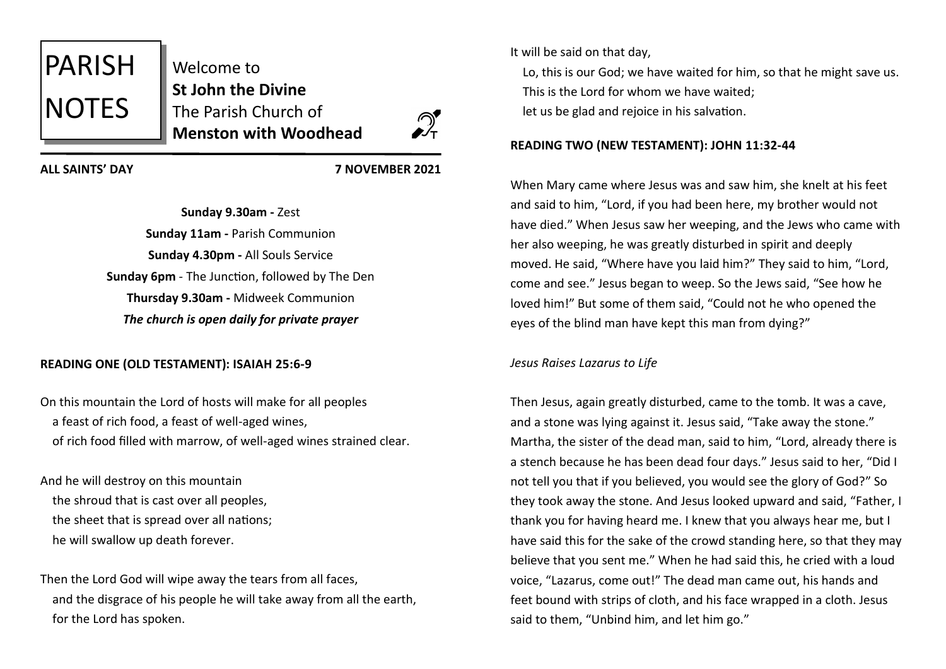

**ALL SAINTS' DAY 7 NOVEMBER 2021**

**Sunday 9.30am -** Zest **Sunday 11am -** Parish Communion **Sunday 4.30pm -** All Souls Service **Sunday 6pm** - The Junction, followed by The Den **Thursday 9.30am -** Midweek Communion *The church is open daily for private prayer*

# **READING ONE (OLD TESTAMENT): ISAIAH 25:6-9**

On this mountain the Lord of hosts will make for all peoples a feast of rich food, a feast of well-aged wines, of rich food filled with marrow, of well-aged wines strained clear.

And he will destroy on this mountain the shroud that is cast over all peoples, the sheet that is spread over all nations; he will swallow up death forever.

Then the Lord God will wipe away the tears from all faces, and the disgrace of his people he will take away from all the earth, for the Lord has spoken.

It will be said on that day,

 Lo, this is our God; we have waited for him, so that he might save us. This is the Lord for whom we have waited; let us be glad and rejoice in his salvation.

# **READING TWO (NEW TESTAMENT): JOHN 11:32-44**

When Mary came where Jesus was and saw him, she knelt at his feet and said to him, "Lord, if you had been here, my brother would not have died." When Jesus saw her weeping, and the Jews who came with her also weeping, he was greatly disturbed in spirit and deeply moved. He said, "Where have you laid him?" They said to him, "Lord, come and see." Jesus began to weep. So the Jews said, "See how he loved him!" But some of them said, "Could not he who opened the eyes of the blind man have kept this man from dying?"

*Jesus Raises Lazarus to Life*

Then Jesus, again greatly disturbed, came to the tomb. It was a cave, and a stone was lying against it. Jesus said, "Take away the stone." Martha, the sister of the dead man, said to him, "Lord, already there is a stench because he has been dead four days." Jesus said to her, "Did I not tell you that if you believed, you would see the glory of God?" So they took away the stone. And Jesus looked upward and said, "Father, I thank you for having heard me. I knew that you always hear me, but I have said this for the sake of the crowd standing here, so that they may believe that you sent me." When he had said this, he cried with a loud voice, "Lazarus, come out!" The dead man came out, his hands and feet bound with strips of cloth, and his face wrapped in a cloth. Jesus said to them, "Unbind him, and let him go."